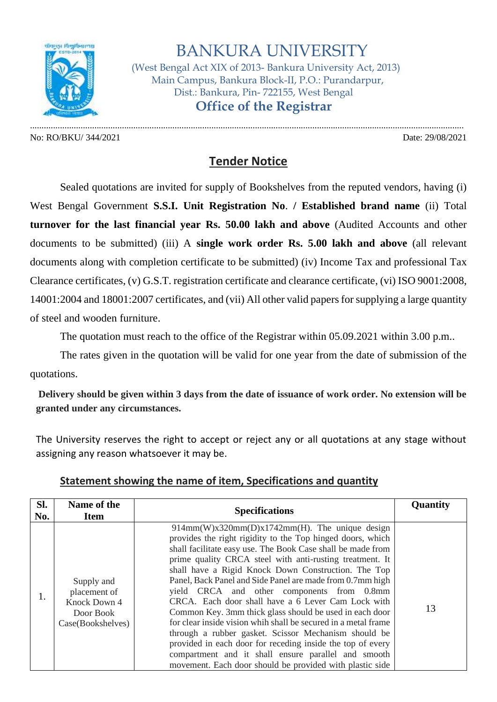

## BANKURA UNIVERSITY

 (West Bengal Act XIX of 2013- Bankura University Act, 2013) Main Campus, Bankura Block-II, P.O.: Purandarpur, Dist.: Bankura, Pin- 722155, West Bengal  **Office of the Registrar**

No: RO/BKU/ 344/2021 Date: 29/08/2021

.............................................................................................................................................................................................

## **Tender Notice**

Sealed quotations are invited for supply of Bookshelves from the reputed vendors, having (i) West Bengal Government **S.S.I. Unit Registration No**. **/ Established brand name** (ii) Total **turnover for the last financial year Rs. 50.00 lakh and above** (Audited Accounts and other documents to be submitted) (iii) A **single work order Rs. 5.00 lakh and above** (all relevant documents along with completion certificate to be submitted) (iv) Income Tax and professional Tax Clearance certificates, (v) G.S.T. registration certificate and clearance certificate, (vi) ISO 9001:2008, 14001:2004 and 18001:2007 certificates, and (vii) All other valid papers for supplying a large quantity of steel and wooden furniture.

The quotation must reach to the office of the Registrar within 05.09.2021 within 3.00 p.m..

The rates given in the quotation will be valid for one year from the date of submission of the quotations.

**Delivery should be given within 3 days from the date of issuance of work order. No extension will be granted under any circumstances.**

The University reserves the right to accept or reject any or all quotations at any stage without assigning any reason whatsoever it may be.

| SI.<br>No. | Name of the<br><b>Item</b>                                                   | <b>Specifications</b>                                                                                                                                                                                                                                                                                                                                                                                                                                                                                                                                                                                                                                                                                                                                                                                                                    | Quantity |
|------------|------------------------------------------------------------------------------|------------------------------------------------------------------------------------------------------------------------------------------------------------------------------------------------------------------------------------------------------------------------------------------------------------------------------------------------------------------------------------------------------------------------------------------------------------------------------------------------------------------------------------------------------------------------------------------------------------------------------------------------------------------------------------------------------------------------------------------------------------------------------------------------------------------------------------------|----------|
| 1.         | Supply and<br>placement of<br>Knock Down 4<br>Door Book<br>Case(Bookshelves) | $914mm(W)x320mm(D)x1742mm(H)$ . The unique design<br>provides the right rigidity to the Top hinged doors, which<br>shall facilitate easy use. The Book Case shall be made from<br>prime quality CRCA steel with anti-rusting treatment. It<br>shall have a Rigid Knock Down Construction. The Top<br>Panel, Back Panel and Side Panel are made from 0.7mm high<br>yield CRCA and other components from 0.8mm<br>CRCA. Each door shall have a 6 Lever Cam Lock with<br>Common Key. 3mm thick glass should be used in each door<br>for clear inside vision whih shall be secured in a metal frame<br>through a rubber gasket. Scissor Mechanism should be<br>provided in each door for receding inside the top of every<br>compartment and it shall ensure parallel and smooth<br>movement. Each door should be provided with plastic side | 13       |

## **Statement showing the name of item, Specifications and quantity**